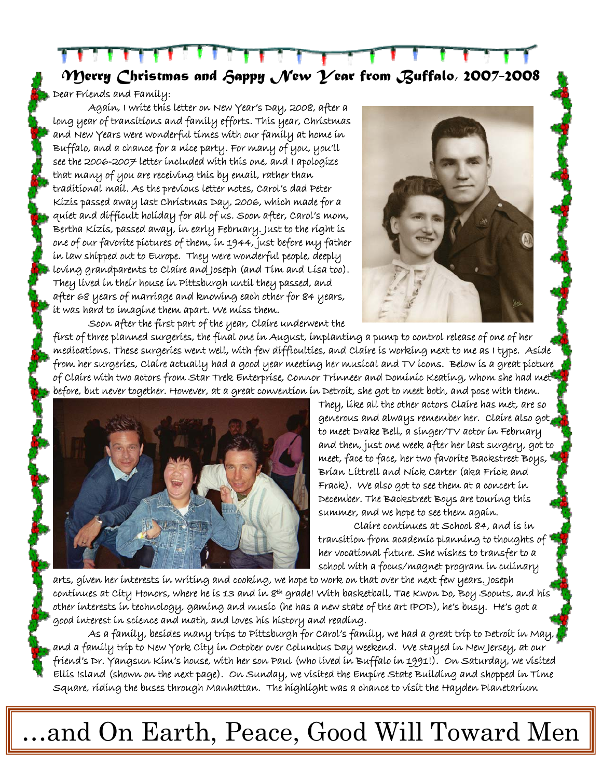*Merry Christmas and Happy New Year from Buffalo, 2007-2008* 

Dear Friends and Family:

Again, I write this letter on New Year's Day, 2008, after a long year of transitions and family efforts. This year, Christmas and New Years were wonderful times with our family at home in Buffalo, and a chance for a nice party. For many of you, you'll see the 2006-2007 letter included with this one, and I apologize that many of you are receiving this by email, rather than traditional mail. As the previous letter notes, Carol's dad Peter Kizis passed away last Christmas Day, 2006, which made for a quiet and difficult holiday for all of us. Soon after, Carol's mom, Bertha Kizis, passed away, in early February. Just to the right is one of our favorite pictures of them, in 1944, just before my father in law shipped out to Europe. They were wonderful people, deeply loving grandparents to Claire and Joseph (and Tim and Lisa too). They lived in their house in Pittsburgh until they passed, and after 68 years of marriage and knowing each other for 84 years, it was hard to imagine them apart. We miss them.



Soon after the first part of the year, Claire underwent the first of three planned surgeries, the final one in August, implanting a pump to control release of one of her medications. These surgeries went well, with few difficulties, and Claire is working next to me as I type. Aside from her surgeries, Claire actually had a good year meeting her musical and TV icons. Below is a great picture of Claire with two actors from Star Trek Enterprise, Connor Trinneer and Dominic Keating, whom she had met before, but never together. However, at a great convention in Detroit, she got to meet both, and pose with them.



They, like all the other actors Claire has met, are so generous and always remember her. Claire also got to meet Drake Bell, a singer/TV actor in February and then, just one week after her last surgery, got to meet, face to face, her two favorite Backstreet Boys, Brian Littrell and Nick Carter (aka Frick and Frack). We also got to see them at a concert in December. The Backstreet Boys are touring this summer, and we hope to see them again.

Claire continues at School 84, and is in transition from academic planning to thoughts of her vocational future. She wishes to transfer to a school with a focus/magnet program in culinary

arts, given her interests in writing and cooking, we hope to work on that over the next few years. Joseph continues at City Honors, where he is 13 and in 8th grade! With basketball, Tae Kwon Do, Boy Soouts, and his other interests in technology, gaming and music (he has a new state of the art IPOD), he's busy. He's got a good interest in science and math, and loves his history and reading.

As a family, besides many trips to Pittsburgh for Carol's family, we had a great trip to Detroit in May, and a family trip to New York City in October over Columbus Day weekend. We stayed in New Jersey, at our friend's Dr. Yangsun Kim's house, with her son Paul (who lived in Buffalo in 1991!). On Saturday, we visited Ellis Island (shown on the next page). On Sunday, we visited the Empire State Building and shopped in Time Square, riding the buses through Manhattan. The highlight was a chance to visit the Hayden Planetarium

## …and On Earth, Peace, Good Will Toward Men